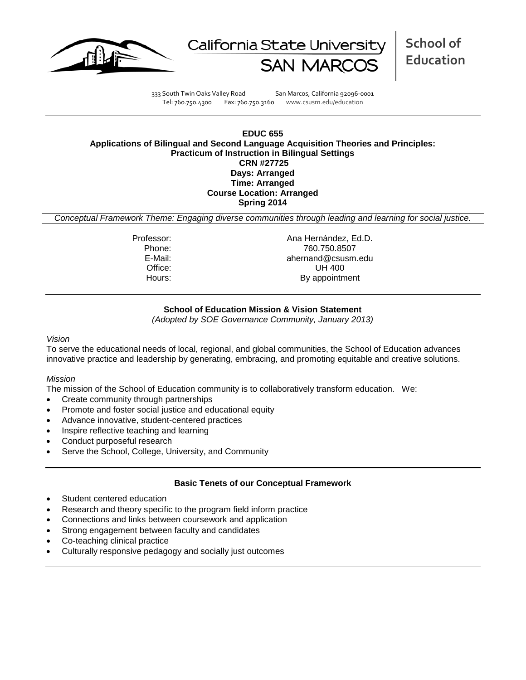



**School of Education**

333 South Twin Oaks Valley Road San Marcos, California 92096-0001 Tel: 760.750.4300 Fax: 760.750.3160 www.csusm.edu/education

### **EDUC 655 Applications of Bilingual and Second Language Acquisition Theories and Principles: Practicum of Instruction in Bilingual Settings CRN #27725 Days: Arranged Time: Arranged Course Location: Arranged Spring 2014**

*Conceptual Framework Theme: Engaging diverse communities through leading and learning for social justice.*

Professor: Ana Hernández, Ed.D.<br>Phone: 760.750.8507 Phone: 760.750.8507 E-Mail: ahernand@csusm.edu Office: UH 400<br>
Hours: By appointm By appointment

### **School of Education Mission & Vision Statement**

*(Adopted by SOE Governance Community, January 2013)*

#### *Vision*

To serve the educational needs of local, regional, and global communities, the School of Education advances innovative practice and leadership by generating, embracing, and promoting equitable and creative solutions.

#### *Mission*

The mission of the School of Education community is to collaboratively transform education. We:

- Create community through partnerships
- Promote and foster social justice and educational equity
- Advance innovative, student-centered practices
- Inspire reflective teaching and learning
- Conduct purposeful research
- Serve the School, College, University, and Community

#### **Basic Tenets of our Conceptual Framework**

- Student centered education
- Research and theory specific to the program field inform practice
- Connections and links between coursework and application
- Strong engagement between faculty and candidates
- Co-teaching clinical practice
- Culturally responsive pedagogy and socially just outcomes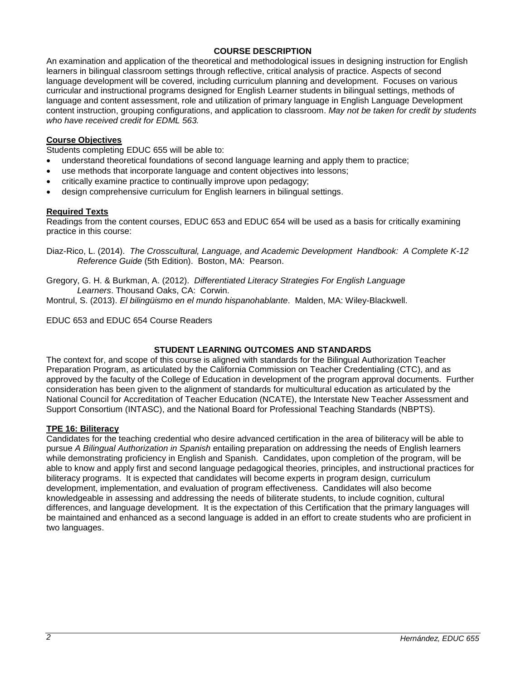## **COURSE DESCRIPTION**

An examination and application of the theoretical and methodological issues in designing instruction for English learners in bilingual classroom settings through reflective, critical analysis of practice. Aspects of second language development will be covered, including curriculum planning and development. Focuses on various curricular and instructional programs designed for English Learner students in bilingual settings, methods of language and content assessment, role and utilization of primary language in English Language Development content instruction, grouping configurations, and application to classroom. *May not be taken for credit by students who have received credit for EDML 563.*

## **Course Objectives**

Students completing EDUC 655 will be able to:

- understand theoretical foundations of second language learning and apply them to practice;
- use methods that incorporate language and content objectives into lessons;
- critically examine practice to continually improve upon pedagogy;
- design comprehensive curriculum for English learners in bilingual settings.

### **Required Texts**

Readings from the content courses, EDUC 653 and EDUC 654 will be used as a basis for critically examining practice in this course:

Diaz-Rico, L. (2014). *The Crosscultural, Language, and Academic Development Handbook: A Complete K-12 Reference Guide* (5th Edition). Boston, MA: Pearson.

Gregory, G. H. & Burkman, A. (2012). *Differentiated Literacy Strategies For English Language Learners*. Thousand Oaks, CA: Corwin.

Montrul, S. (2013). *El bilingüismo en el mundo hispanohablante*. Malden, MA: Wiley-Blackwell.

EDUC 653 and EDUC 654 Course Readers

## **STUDENT LEARNING OUTCOMES AND STANDARDS**

The context for, and scope of this course is aligned with standards for the Bilingual Authorization Teacher Preparation Program, as articulated by the California Commission on Teacher Credentialing (CTC), and as approved by the faculty of the College of Education in development of the program approval documents. Further consideration has been given to the alignment of standards for multicultural education as articulated by the National Council for Accreditation of Teacher Education (NCATE), the Interstate New Teacher Assessment and Support Consortium (INTASC), and the National Board for Professional Teaching Standards (NBPTS).

### **TPE 16: Biliteracy**

Candidates for the teaching credential who desire advanced certification in the area of biliteracy will be able to pursue *A Bilingual Authorization in Spanish* entailing preparation on addressing the needs of English learners while demonstrating proficiency in English and Spanish. Candidates, upon completion of the program, will be able to know and apply first and second language pedagogical theories, principles, and instructional practices for biliteracy programs. It is expected that candidates will become experts in program design, curriculum development, implementation, and evaluation of program effectiveness. Candidates will also become knowledgeable in assessing and addressing the needs of biliterate students, to include cognition, cultural differences, and language development. It is the expectation of this Certification that the primary languages will be maintained and enhanced as a second language is added in an effort to create students who are proficient in two languages.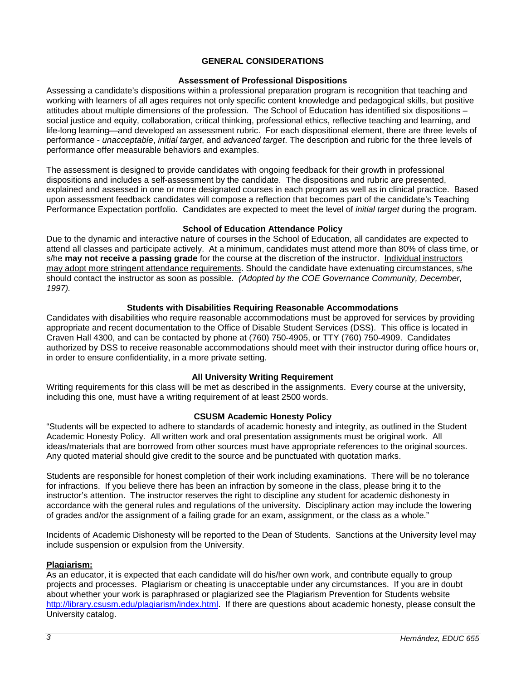## **GENERAL CONSIDERATIONS**

### **Assessment of Professional Dispositions**

Assessing a candidate's dispositions within a professional preparation program is recognition that teaching and working with learners of all ages requires not only specific content knowledge and pedagogical skills, but positive attitudes about multiple dimensions of the profession. The School of Education has identified six dispositions – social justice and equity, collaboration, critical thinking, professional ethics, reflective teaching and learning, and life-long learning—and developed an assessment rubric. For each dispositional element, there are three levels of performance - *unacceptable*, *initial target*, and *advanced target*. The description and rubric for the three levels of performance offer measurable behaviors and examples.

The assessment is designed to provide candidates with ongoing feedback for their growth in professional dispositions and includes a self-assessment by the candidate. The dispositions and rubric are presented, explained and assessed in one or more designated courses in each program as well as in clinical practice. Based upon assessment feedback candidates will compose a reflection that becomes part of the candidate's Teaching Performance Expectation portfolio. Candidates are expected to meet the level of *initial target* during the program.

### **School of Education Attendance Policy**

Due to the dynamic and interactive nature of courses in the School of Education, all candidates are expected to attend all classes and participate actively. At a minimum, candidates must attend more than 80% of class time, or s/he **may not receive a passing grade** for the course at the discretion of the instructor. Individual instructors may adopt more stringent attendance requirements. Should the candidate have extenuating circumstances, s/he should contact the instructor as soon as possible. *(Adopted by the COE Governance Community, December, 1997).*

### **Students with Disabilities Requiring Reasonable Accommodations**

Candidates with disabilities who require reasonable accommodations must be approved for services by providing appropriate and recent documentation to the Office of Disable Student Services (DSS). This office is located in Craven Hall 4300, and can be contacted by phone at (760) 750-4905, or TTY (760) 750-4909. Candidates authorized by DSS to receive reasonable accommodations should meet with their instructor during office hours or, in order to ensure confidentiality, in a more private setting.

### **All University Writing Requirement**

Writing requirements for this class will be met as described in the assignments. Every course at the university, including this one, must have a writing requirement of at least 2500 words.

### **CSUSM Academic Honesty Policy**

"Students will be expected to adhere to standards of academic honesty and integrity, as outlined in the Student Academic Honesty Policy. All written work and oral presentation assignments must be original work. All ideas/materials that are borrowed from other sources must have appropriate references to the original sources. Any quoted material should give credit to the source and be punctuated with quotation marks.

Students are responsible for honest completion of their work including examinations. There will be no tolerance for infractions. If you believe there has been an infraction by someone in the class, please bring it to the instructor's attention. The instructor reserves the right to discipline any student for academic dishonesty in accordance with the general rules and regulations of the university. Disciplinary action may include the lowering of grades and/or the assignment of a failing grade for an exam, assignment, or the class as a whole."

Incidents of Academic Dishonesty will be reported to the Dean of Students. Sanctions at the University level may include suspension or expulsion from the University.

### **Plagiarism:**

As an educator, it is expected that each candidate will do his/her own work, and contribute equally to group projects and processes. Plagiarism or cheating is unacceptable under any circumstances. If you are in doubt about whether your work is paraphrased or plagiarized see the Plagiarism Prevention for Students website [http://library.csusm.edu/plagiarism/index.html.](http://library.csusm.edu/plagiarism/index.html) If there are questions about academic honesty, please consult the University catalog.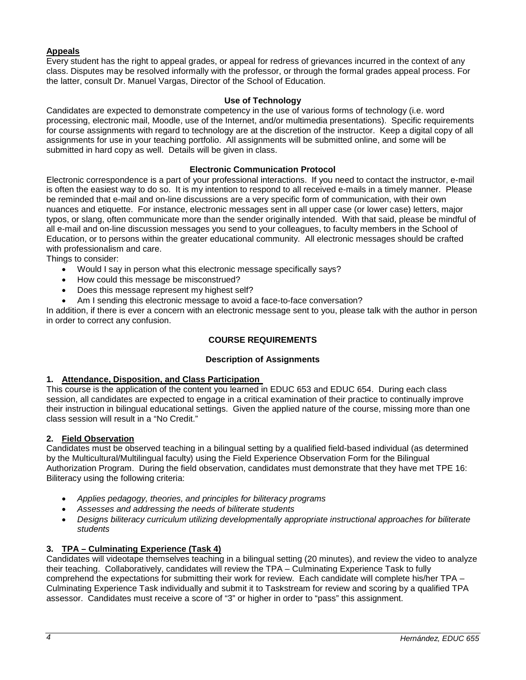# **Appeals**

Every student has the right to appeal grades, or appeal for redress of grievances incurred in the context of any class. Disputes may be resolved informally with the professor, or through the formal grades appeal process. For the latter, consult Dr. Manuel Vargas, Director of the School of Education.

### **Use of Technology**

Candidates are expected to demonstrate competency in the use of various forms of technology (i.e. word processing, electronic mail, Moodle, use of the Internet, and/or multimedia presentations). Specific requirements for course assignments with regard to technology are at the discretion of the instructor. Keep a digital copy of all assignments for use in your teaching portfolio. All assignments will be submitted online, and some will be submitted in hard copy as well. Details will be given in class.

## **Electronic Communication Protocol**

Electronic correspondence is a part of your professional interactions. If you need to contact the instructor, e-mail is often the easiest way to do so. It is my intention to respond to all received e-mails in a timely manner. Please be reminded that e-mail and on-line discussions are a very specific form of communication, with their own nuances and etiquette. For instance, electronic messages sent in all upper case (or lower case) letters, major typos, or slang, often communicate more than the sender originally intended. With that said, please be mindful of all e-mail and on-line discussion messages you send to your colleagues, to faculty members in the School of Education, or to persons within the greater educational community. All electronic messages should be crafted with professionalism and care.

Things to consider:

- Would I say in person what this electronic message specifically says?
- How could this message be misconstrued?
- Does this message represent my highest self?
- Am I sending this electronic message to avoid a face-to-face conversation?

In addition, if there is ever a concern with an electronic message sent to you, please talk with the author in person in order to correct any confusion.

# **COURSE REQUIREMENTS**

## **Description of Assignments**

## **1. Attendance, Disposition, and Class Participation**

This course is the application of the content you learned in EDUC 653 and EDUC 654. During each class session, all candidates are expected to engage in a critical examination of their practice to continually improve their instruction in bilingual educational settings. Given the applied nature of the course, missing more than one class session will result in a "No Credit."

### **2. Field Observation**

Candidates must be observed teaching in a bilingual setting by a qualified field-based individual (as determined by the Multicultural/Multilingual faculty) using the Field Experience Observation Form for the Bilingual Authorization Program. During the field observation, candidates must demonstrate that they have met TPE 16: Biliteracy using the following criteria:

- *Applies pedagogy, theories, and principles for biliteracy programs*
- *Assesses and addressing the needs of biliterate students*
- *Designs biliteracy curriculum utilizing developmentally appropriate instructional approaches for biliterate students*

## **3. TPA – Culminating Experience (Task 4)**

Candidates will videotape themselves teaching in a bilingual setting (20 minutes), and review the video to analyze their teaching. Collaboratively, candidates will review the TPA – Culminating Experience Task to fully comprehend the expectations for submitting their work for review. Each candidate will complete his/her TPA – Culminating Experience Task individually and submit it to Taskstream for review and scoring by a qualified TPA assessor. Candidates must receive a score of "3" or higher in order to "pass" this assignment.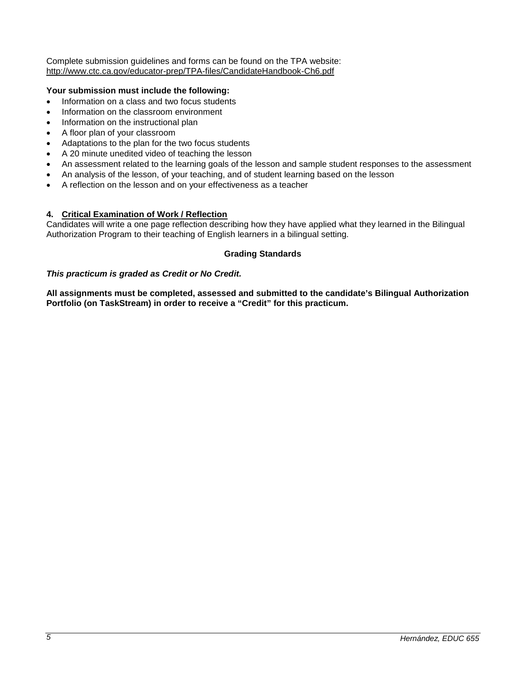Complete submission guidelines and forms can be found on the TPA website: <http://www.ctc.ca.gov/educator-prep/TPA-files/CandidateHandbook-Ch6.pdf>

## **Your submission must include the following:**

- Information on a class and two focus students
- Information on the classroom environment
- Information on the instructional plan
- A floor plan of your classroom
- Adaptations to the plan for the two focus students
- A 20 minute unedited video of teaching the lesson
- An assessment related to the learning goals of the lesson and sample student responses to the assessment
- An analysis of the lesson, of your teaching, and of student learning based on the lesson
- A reflection on the lesson and on your effectiveness as a teacher

## **4. Critical Examination of Work / Reflection**

Candidates will write a one page reflection describing how they have applied what they learned in the Bilingual Authorization Program to their teaching of English learners in a bilingual setting.

## **Grading Standards**

## *This practicum is graded as Credit or No Credit.*

**All assignments must be completed, assessed and submitted to the candidate's Bilingual Authorization Portfolio (on TaskStream) in order to receive a "Credit" for this practicum.**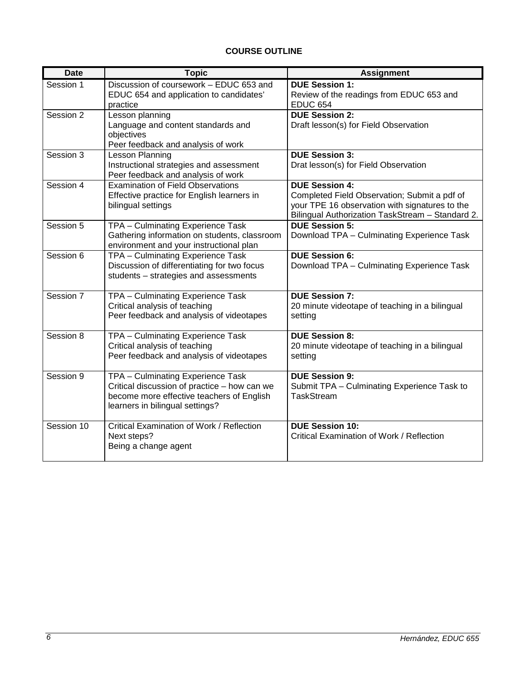# **COURSE OUTLINE**

| <b>Date</b> | <b>Topic</b>                                                                                                                                                      | <b>Assignment</b>                                                                                                                                                           |  |
|-------------|-------------------------------------------------------------------------------------------------------------------------------------------------------------------|-----------------------------------------------------------------------------------------------------------------------------------------------------------------------------|--|
| Session 1   | Discussion of coursework - EDUC 653 and<br>EDUC 654 and application to candidates'<br>practice                                                                    | <b>DUE Session 1:</b><br>Review of the readings from EDUC 653 and<br><b>EDUC 654</b>                                                                                        |  |
| Session 2   | Lesson planning<br>Language and content standards and<br>objectives<br>Peer feedback and analysis of work                                                         | <b>DUE Session 2:</b><br>Draft lesson(s) for Field Observation                                                                                                              |  |
| Session 3   | <b>Lesson Planning</b><br>Instructional strategies and assessment<br>Peer feedback and analysis of work                                                           | <b>DUE Session 3:</b><br>Drat lesson(s) for Field Observation                                                                                                               |  |
| Session 4   | <b>Examination of Field Observations</b><br>Effective practice for English learners in<br>bilingual settings                                                      | <b>DUE Session 4:</b><br>Completed Field Observation; Submit a pdf of<br>your TPE 16 observation with signatures to the<br>Bilingual Authorization TaskStream - Standard 2. |  |
| Session 5   | TPA - Culminating Experience Task<br>Gathering information on students, classroom<br>environment and your instructional plan                                      | <b>DUE Session 5:</b><br>Download TPA - Culminating Experience Task                                                                                                         |  |
| Session 6   | TPA - Culminating Experience Task<br>Discussion of differentiating for two focus<br>students - strategies and assessments                                         | <b>DUE Session 6:</b><br>Download TPA - Culminating Experience Task                                                                                                         |  |
| Session 7   | TPA - Culminating Experience Task<br>Critical analysis of teaching<br>Peer feedback and analysis of videotapes                                                    | <b>DUE Session 7:</b><br>20 minute videotape of teaching in a bilingual<br>setting                                                                                          |  |
| Session 8   | TPA - Culminating Experience Task<br>Critical analysis of teaching<br>Peer feedback and analysis of videotapes                                                    | <b>DUE Session 8:</b><br>20 minute videotape of teaching in a bilingual<br>setting                                                                                          |  |
| Session 9   | TPA - Culminating Experience Task<br>Critical discussion of practice - how can we<br>become more effective teachers of English<br>learners in bilingual settings? | <b>DUE Session 9:</b><br>Submit TPA - Culminating Experience Task to<br><b>TaskStream</b>                                                                                   |  |
| Session 10  | Critical Examination of Work / Reflection<br>Next steps?<br>Being a change agent                                                                                  | <b>DUE Session 10:</b><br>Critical Examination of Work / Reflection                                                                                                         |  |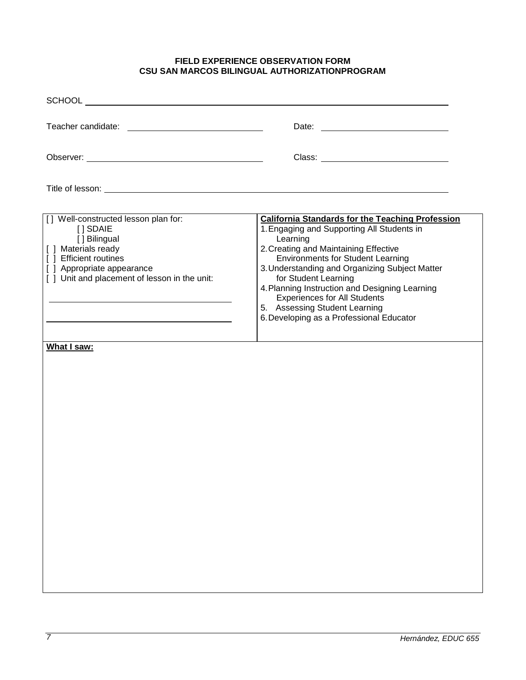## **FIELD EXPERIENCE OBSERVATION FORM CSU SAN MARCOS BILINGUAL AUTHORIZATIONPROGRAM**

| Title of lesson: <u>example and the set of the set of the set of the set of the set of the set of the set of the set of the set of the set of the set of the set of the set of the set of the set of the set of the set of the s</u> |                                                                                                                                                                                                                                                                                                                                                                                                                                                        |  |  |  |  |
|--------------------------------------------------------------------------------------------------------------------------------------------------------------------------------------------------------------------------------------|--------------------------------------------------------------------------------------------------------------------------------------------------------------------------------------------------------------------------------------------------------------------------------------------------------------------------------------------------------------------------------------------------------------------------------------------------------|--|--|--|--|
| [] Well-constructed lesson plan for:<br>[ ] SDAIE<br>[] Bilingual<br>[ ] Materials ready<br>[ ] Efficient routines<br>[ ] Appropriate appearance<br>[ ] Unit and placement of lesson in the unit:<br>What I saw:                     | <b>California Standards for the Teaching Profession</b><br>1. Engaging and Supporting All Students in<br>Learning<br>2. Creating and Maintaining Effective<br><b>Environments for Student Learning</b><br>3. Understanding and Organizing Subject Matter<br>for Student Learning<br>4. Planning Instruction and Designing Learning<br><b>Experiences for All Students</b><br>5. Assessing Student Learning<br>6. Developing as a Professional Educator |  |  |  |  |